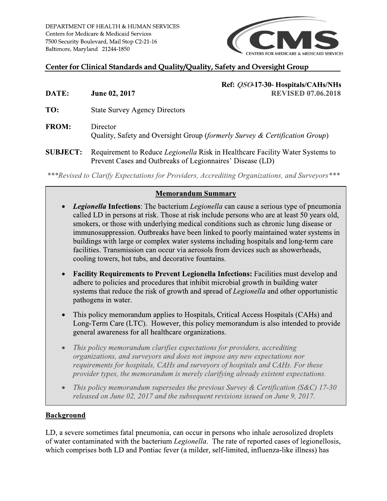DEPARTMENT OF HEALTH & HUMAN SERVICES Centers for Medicare & Medicaid Services 7500 Security Boulevard, Mail Stop C2-21-16 Baltimore, Maryland 21244-1850



## Center for Clinical Standards and Quality/Quality, Safety and Oversight Group

Ref: *QSO*-17-30- Hospitals/CAHs/NHs **REVISED 07.06.2018** 

DATE: June 02, 2017

TO: **State Survey Agency Directors** 

- **FROM:** Director Quality, Safety and Oversight Group (formerly Survey & Certification Group)
- Requirement to Reduce Legionella Risk in Healthcare Facility Water Systems to **SUBJECT:** Prevent Cases and Outbreaks of Legionnaires' Disease (LD)

\*\*\*Revised to Clarify Expectations for Providers, Accrediting Organizations, and Surveyors\*\*\*

### **Memorandum Summary**

- **Legionella Infections:** The bacterium Legionella can cause a serious type of pneumonia  $\bullet$ called LD in persons at risk. Those at risk include persons who are at least 50 years old, smokers, or those with underlying medical conditions such as chronic lung disease or immunosuppression. Outbreaks have been linked to poorly maintained water systems in buildings with large or complex water systems including hospitals and long-term care facilities. Transmission can occur via aerosols from devices such as showerheads, cooling towers, hot tubs, and decorative fountains.
- **Facility Requirements to Prevent Legionella Infections:** Facilities must develop and adhere to policies and procedures that inhibit microbial growth in building water systems that reduce the risk of growth and spread of *Legionella* and other opportunistic pathogens in water.
- This policy memorandum applies to Hospitals, Critical Access Hospitals (CAHs) and Long-Term Care (LTC). However, this policy memorandum is also intended to provide general awareness for all healthcare organizations.
- This policy memorandum clarifies expectations for providers, accrediting organizations, and surveyors and does not impose any new expectations nor requirements for hospitals, CAHs and surveyors of hospitals and CAHs. For these provider types, the memorandum is merely clarifying already existent expectations.
- This policy memorandum supersedes the previous Survey & Certification (S&C) 17-30 released on June 02, 2017 and the subsequent revisions issued on June 9, 2017.

#### **Background**

LD, a severe sometimes fatal pneumonia, can occur in persons who inhale aerosolized droplets of water contaminated with the bacterium Legionella. The rate of reported cases of legionellosis, which comprises both LD and Pontiac fever (a milder, self-limited, influenza-like illness) has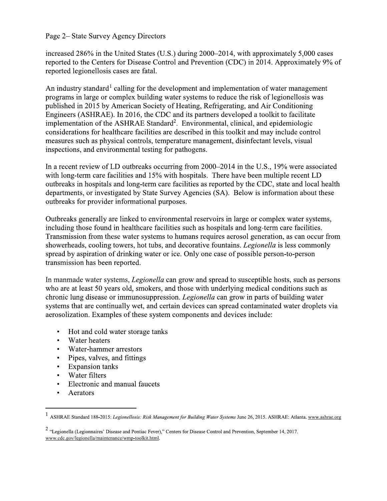#### Page 2– State Survey Agency Directors

increased 286% in the United States (U.S.) during 2000–2014, with approximately 5,000 cases reported to the Centers for Disease Control and Prevention (CDC) in 2014. Approximately 9% of reported legionellosis cases are fatal.

An industry standard<sup>1</sup> calling for the development and implementation of water management programs in large or complex building water systems to reduce the risk of legionellosis was published in 2015 by American Society of Heating, Refrigerating, and Air Conditioning Engineers (ASHRAE). In 2016, the CDC and its partners developed a toolkit to facilitate implementation of the ASHRAE Standard<sup>2</sup>. Environmental, clinical, and epidemiologic considerations for healthcare facilities are described in this toolkit and may include control measures such as physical controls, temperature management, disinfectant levels, visual inspections, and environmental testing for pathogens.

In a recent review of LD outbreaks occurring from 2000–2014 in the U.S., 19% were associated with long-term care facilities and 15% with hospitals. There have been multiple recent LD outbreaks in hospitals and long-term care facilities as reported by the CDC, state and local health departments, or investigated by State Survey Agencies (SA). Below is information about these outbreaks for provider informational purposes.

Outbreaks generally are linked to environmental reservoirs in large or complex water systems, including those found in healthcare facilities such as hospitals and long-term care facilities. Transmission from these water systems to humans requires aerosol generation, as can occur from showerheads, cooling towers, hot tubs, and decorative fountains. *Legionella* is less commonly spread by aspiration of drinking water or ice. Only one case of possible person-to-person transmission has been reported.

In manmade water systems, *Legionella* can grow and spread to susceptible hosts, such as persons who are at least 50 years old, smokers, and those with underlying medical conditions such as chronic lung disease or immunosuppression. *Legionella* can grow in parts of building water systems that are continually wet, and certain devices can spread contaminated water droplets via aerosolization. Examples of these system components and devices include:

- Hot and cold water storage tanks  $\bullet$
- Water heaters  $\bullet$
- Water-hammer arrestors  $\bullet$
- $\bullet$  . Pipes, valves, and fittings
- $\bullet$ **Expansion tanks**
- $\bullet$ Water filters
- Electronic and manual faucets  $\bullet$
- $\bullet$ Aerators

<sup>&</sup>lt;sup>1</sup> ASHRAE Standard 188-2015: Legionellosis: Risk Management for Building Water Systems June 26, 2015. ASHRAE: Atlanta. www.ashrae.org

<sup>&</sup>lt;sup>2</sup> "Legionella (Legionnaires' Disease and Pontiac Fever)," Centers for Disease Control and Prevention, September 14, 2017. www.cdc.gov/legionella/maintenance/wmp-toolkit.html.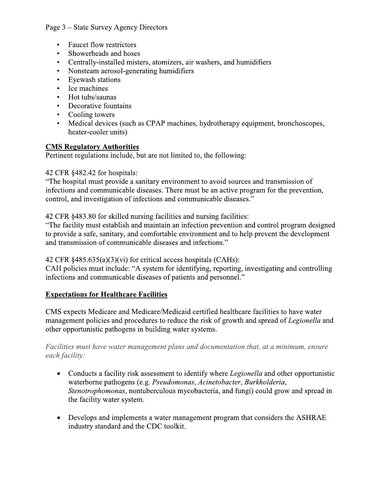# Page 3 – State Survey Agency Directors

- Faucet flow restrictors
- Showerheads and hoses
- Centrally-installed misters, atomizers, air washers, and humidifiers
- Nonsteam aerosol-generating humiditiers
- Eyewash stations<br>• Ice machines
- Ice machines<br>• Hot tubs/saur
- Hot tubs/saunas<br>• Decorative foun
- Decorative fountains
- Cooling towers
- otherapy equipment, bronchoscopes, heater-cooler units)

# <u>CMS Regulatory Authorities</u>

Pertinent regulations include, but are not limited to, the following:

i.  $^{42}$  CFR  $\frac{8482.42}{ }$  for hospitals:

• Showerheads and hoses<br>
• Centrally-installed misters, atomizers, air washers<br>
• Nonsteam aerosol-generating humidifiers<br>
• Eyewash stations<br>
• Ice machines<br>
• Hot tubs/saunas<br>
• Cooling towers<br>
• Medical devices (such as The hospital must provide a sanitary environment to avoid sources and transmission of infections and communicable diseases. There must be an active program for the prevention, control, and investigation of infections and communicable diseases."

> i.<br>Li 42 CFR §483.80 for skilled nursing facilities and nursing facilities:

The facility must establish and maintain an infection prevention and control program designed " to provide a safe, sanitary, and comfortable environment and to help prevent the development and transmission of communicable diseases and infections."

#### $42$  CFR  $\S$ 485.635(a)(3)(vi) for critical access hospitals (CAHs):

CAH policies must include: "A system for identifying, reporting, investigating and controlling infections and communicable diseases of patients and personnel."

# <u>Expectations for Healthcare Facilities</u>

i.<br>Li and transmission of communicable dise<br>
42 CFR §485.635(a)(3)(vi) for critical<br>
CAH policies must include: "A system<br>
infections and communicable diseases<br> **Expectations for Healthcare Facilitie**<br>
CMS expects Medicare and I transmission of communicable diseases and infectors<br>
CFR §485.635(a)(3)(vi) for critical access hospita<br>
H policies must include: "A system for identifying<br>
rections and communicable diseases of patients and<br> **pectations** ion of communicable diseases and infections."<br>
.635(a)(3)(vi) for critical access hospitals (CAHs)<br>
i must include: "A system for identifying, reporting<br>
dommunicable diseases of patients and personne<br> **if the Healthcare** tified healthcare facilities to have water management policies and procedures to reduce the risk of growth and spread of *Legionella* and other opportumistic pathogens in building water systems.

Facilities must have water management plans and documentation that, at a minimum, ensure each facility:

- Conducts a facility risk assessment to identify where *Legionella* and other opportunistic waterborne pathogens (e.g. *Pseudomonas, Acinetobacter, Burkholderia,* Stenotrophomonas, nontuberculous mycobacteria, and fungi) could grow and spread in the facility water system.
- Develops and implements a water management program that considers the ASHRAE industry standard and the CDC toolkit.